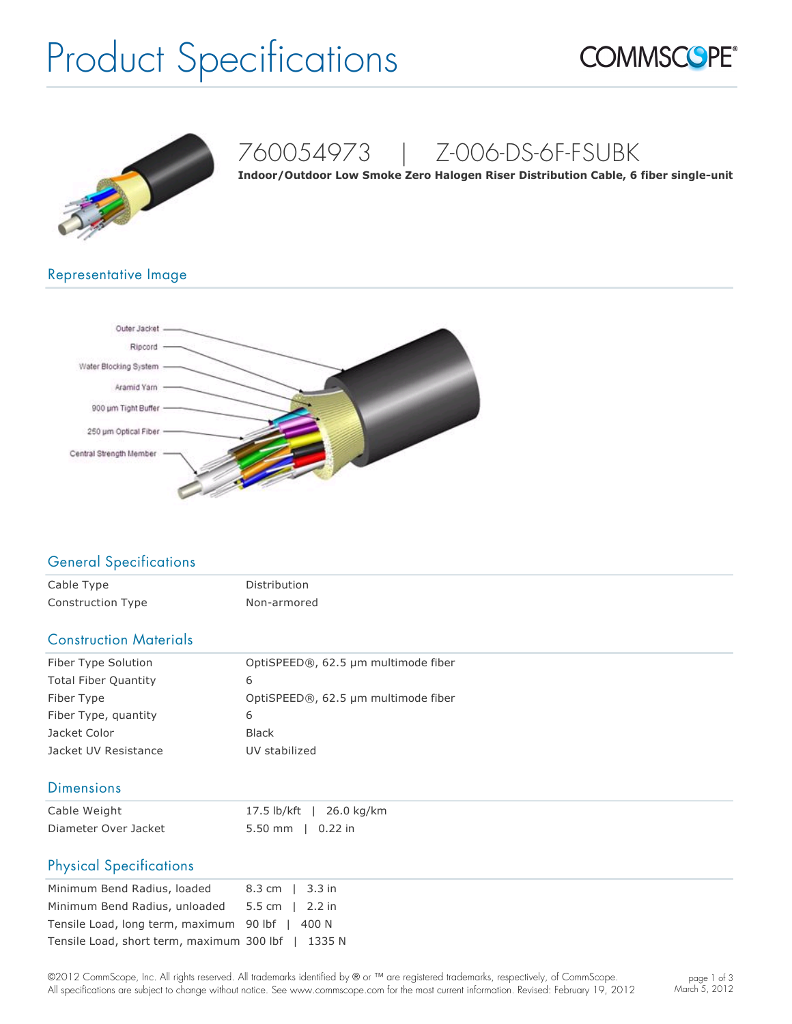# Product Specifications





## 760054973 | Z-006-DS-6F-FSUBK

**Indoor/Outdoor Low Smoke Zero Halogen Riser Distribution Cable, 6 fiber single-unit** 

### Representative Image



### General Specifications

| Cable Type        | Distribution |
|-------------------|--------------|
| Construction Type | Non-armored  |

#### Construction Materials

| Fiber Type Solution         | OptiSPEED®, 62.5 µm multimode fiber |
|-----------------------------|-------------------------------------|
| <b>Total Fiber Quantity</b> | 6                                   |
| Fiber Type                  | OptiSPEED®, 62.5 µm multimode fiber |
| Fiber Type, quantity        | 6                                   |
| Jacket Color                | <b>Black</b>                        |
| Jacket UV Resistance        | UV stabilized                       |

#### **Dimensions**

| Cable Weight         |                     | 17.5 lb/kft   26.0 kg/km |
|----------------------|---------------------|--------------------------|
| Diameter Over Jacket | $5.50$ mm   0.22 in |                          |

#### Physical Specifications

| Minimum Bend Radius, loaded                        | 8.3 cm $\vert$ 3.3 in |
|----------------------------------------------------|-----------------------|
| Minimum Bend Radius, unloaded                      | 5.5 cm $\vert$ 2.2 in |
| Tensile Load, long term, maximum 90 lbf   400 N    |                       |
| Tensile Load, short term, maximum 300 lbf   1335 N |                       |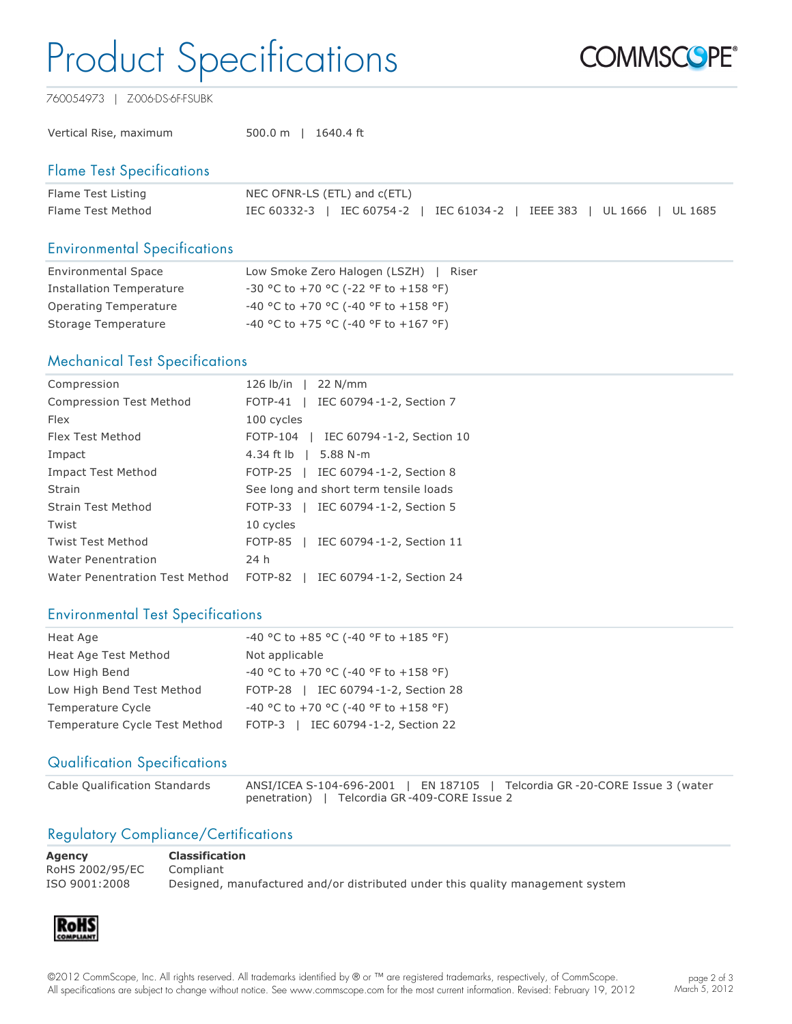# Product Specifications



760054973 | Z-006-DS-6F-FSUBK

Vertical Rise, maximum 500.0 m | 1640.4 ft

#### Flame Test Specifications

| Flame Test Listing | NEC OFNR-LS (ETL) and c(ETL)                                           |  |  |  |  |
|--------------------|------------------------------------------------------------------------|--|--|--|--|
| Flame Test Method  | IEC 60332-3   IEC 60754-2   IEC 61034-2   IEEE 383   UL 1666   UL 1685 |  |  |  |  |

#### Environmental Specifications

| <b>Environmental Space</b> | Low Smoke Zero Halogen (LSZH)  <br>Riser   |
|----------------------------|--------------------------------------------|
| Installation Temperature   | $-30$ °C to $+70$ °C (-22 °F to $+158$ °F) |
| Operating Temperature      | $-40$ °C to +70 °C (-40 °F to +158 °F)     |
| Storage Temperature        | $-40$ °C to +75 °C (-40 °F to +167 °F)     |

#### Mechanical Test Specifications

| Compression                    | 126 lb/in   22 N/mm                                    |
|--------------------------------|--------------------------------------------------------|
| <b>Compression Test Method</b> | IEC 60794-1-2, Section 7<br>$FOTP-41$                  |
| <b>Flex</b>                    | 100 cycles                                             |
| Flex Test Method               | FOTP-104   IEC 60794-1-2, Section 10                   |
| Impact                         | 4.34 ft lb   5.88 N-m                                  |
| <b>Impact Test Method</b>      | FOTP-25   IEC 60794-1-2, Section 8                     |
| Strain                         | See long and short term tensile loads                  |
| Strain Test Method             | FOTP-33   IEC 60794-1-2, Section 5                     |
| Twist                          | 10 cycles                                              |
| <b>Twist Test Method</b>       | FOTP-85   IEC 60794-1-2, Section 11                    |
| <b>Water Penentration</b>      | 24 h                                                   |
| Water Penentration Test Method | FOTP-82<br>IEC 60794-1-2, Section 24<br>$\blacksquare$ |

#### Environmental Test Specifications

| Heat Age                      | -40 °C to +85 °C (-40 °F to +185 °F) |
|-------------------------------|--------------------------------------|
| Heat Age Test Method          | Not applicable                       |
| Low High Bend                 | -40 °C to +70 °C (-40 °F to +158 °F) |
| Low High Bend Test Method     | FOTP-28   IEC 60794-1-2, Section 28  |
| Temperature Cycle             | -40 °C to +70 °C (-40 °F to +158 °F) |
| Temperature Cycle Test Method | FOTP-3   IEC 60794-1-2, Section 22   |

#### Qualification Specifications

Cable Qualification Standards ANSI/ICEA S-104-696-2001 | EN 187105 | Telcordia GR -20-CORE Issue 3 (water penetration) | Telcordia GR-409-CORE Issue 2

### Regulatory Compliance/Certifications

**Agency Classification** RoHS 2002/95/EC Compliant

ISO 9001:2008 Designed, manufactured and/or distributed under this quality management system